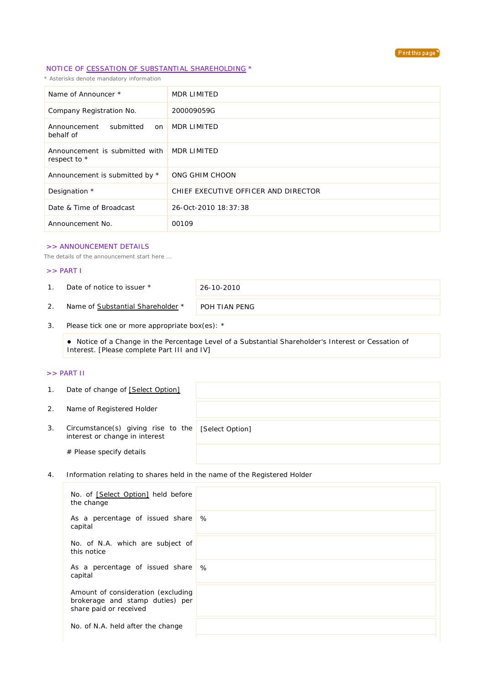

## NOTICE OF CESSATION OF SUBSTANTIAL SHAREHOLDING \*

*\* Asterisks denote mandatory information*

| Name of Announcer *                                        | MDR LIMITED                          |
|------------------------------------------------------------|--------------------------------------|
| Company Registration No.                                   | 200009059G                           |
| Announcement<br>submitted<br>on<br>behalf of               | MDR LIMITED                          |
| Announcement is submitted with MDR LIMITED<br>respect to * |                                      |
| Announcement is submitted by *                             | ONG GHIM CHOON                       |
| Designation *                                              | CHIEF EXECUTIVE OFFICER AND DIRECTOR |
| Date & Time of Broadcast                                   | 26-Oct-2010 18:37:38                 |
| Announcement No.                                           | 00109                                |

#### >> ANNOUNCEMENT DETAILS

*The details of the announcement start here ...*

## >> PART I

1. Date of notice to issuer \* 26-10-2010

2. Name of Substantial Shareholder \* POH TIAN PENG

3. Please tick one or more appropriate box(es): \*

 Notice of a Change in the Percentage Level of a Substantial Shareholder's Interest or Cessation of Interest. [Please complete Part III and IV]

### >> PART II

| $\mathbf{1}$ . | Date of change of [Select Option]                                    |                 |
|----------------|----------------------------------------------------------------------|-----------------|
| 2.             | Name of Registered Holder                                            |                 |
| 3.             | Circumstance(s) giving rise to the<br>interest or change in interest | [Select Option] |
|                | # Please specify details                                             |                 |

4. Information relating to shares held in the name of the Registered Holder

| No. of [Select Option] held before<br>the change                                                |   |
|-------------------------------------------------------------------------------------------------|---|
| As a percentage of issued share<br>capital                                                      | % |
| No. of N.A. which are subject of<br>this notice                                                 |   |
| As a percentage of issued share \%<br>capital                                                   |   |
| Amount of consideration (excluding<br>brokerage and stamp duties) per<br>share paid or received |   |
| No. of N.A. held after the change                                                               |   |